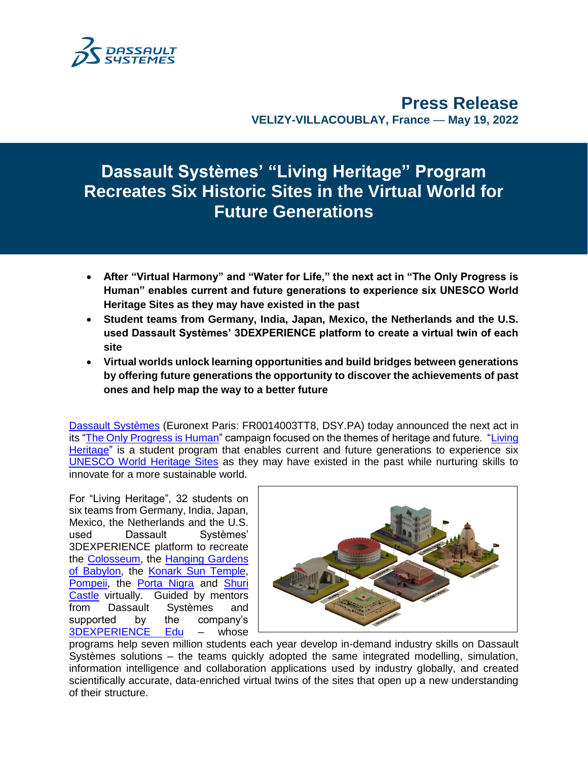

**Press Release VELIZY-VILLACOUBLAY, France** — **May 19, 2022**

# **Dassault Systèmes' "Living Heritage" Program Recreates Six Historic Sites in the Virtual World for Future Generations**

- **After "Virtual Harmony" and "Water for Life," the next act in "The Only Progress is Human" enables current and future generations to experience six UNESCO World Heritage Sites as they may have existed in the past**
- **Student teams from Germany, India, Japan, Mexico, the Netherlands and the U.S. used Dassault Systèmes' 3DEXPERIENCE platform to create a virtual twin of each site**
- **Virtual worlds unlock learning opportunities and build bridges between generations by offering future generations the opportunity to discover the achievements of past ones and help map the way to a better future**

[Dassault Systèmes](http://www.3ds.com/) (Euronext Paris: FR0014003TT8, DSY.PA) today announced the next act in its ["The Only Progress is Human"](https://www.3ds.com/progress-is-human) campaign focused on the themes of heritage and future. ["Living](https://www.3ds.com/progress-is-human/heritage-and-future)  [Heritage"](https://www.3ds.com/progress-is-human/heritage-and-future) is a student program that enables current and future generations to experience six [UNESCO World Heritage Sites](https://whc.unesco.org/en/about/) as they may have existed in the past while nurturing skills to innovate for a more sustainable world.

For "Living Heritage", 32 students on six teams from Germany, India, Japan, Mexico, the Netherlands and the U.S. used Dassault Systèmes' 3DEXPERIENCE platform to recreate the [Colosseum,](http://www.3ds.com/progress-is-human/heritage-and-future/colosseum) the [Hanging Gardens](http://www.3ds.com/progress-is-human/heritage-and-future/hanging-gardens-babylon)  [of Babylon,](http://www.3ds.com/progress-is-human/heritage-and-future/hanging-gardens-babylon) the [Konark Sun Temple,](http://www.3ds.com/progress-is-human/heritage-and-future/konark-sun-temple) [Pompeii,](http://www.3ds.com/progress-is-human/heritage-and-future/pompeii) the [Porta Nigra](http://www.3ds.com/progress-is-human/heritage-and-future/porta-nigra) and Shuri [Castle](http://www.3ds.com/progress-is-human/heritage-and-future/shuri-castle) virtually. Guided by mentors from Dassault Systèmes and supported by the company's [3DEXPERIENCE Edu](https://edu.3ds.com/en) – whose



programs help seven million students each year develop in-demand industry skills on Dassault Systèmes solutions – the teams quickly adopted the same integrated modelling, simulation, information intelligence and collaboration applications used by industry globally, and created scientifically accurate, data-enriched virtual twins of the sites that open up a new understanding of their structure.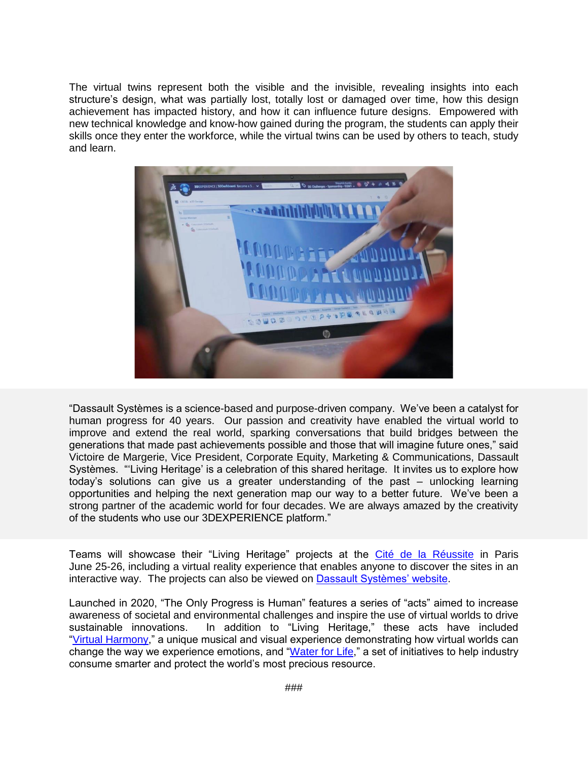The virtual twins represent both the visible and the invisible, revealing insights into each structure's design, what was partially lost, totally lost or damaged over time, how this design achievement has impacted history, and how it can influence future designs. Empowered with new technical knowledge and know-how gained during the program, the students can apply their skills once they enter the workforce, while the virtual twins can be used by others to teach, study and learn.



"Dassault Systèmes is a science-based and purpose-driven company. We've been a catalyst for human progress for 40 years. Our passion and creativity have enabled the virtual world to improve and extend the real world, sparking conversations that build bridges between the generations that made past achievements possible and those that will imagine future ones," said Victoire de Margerie, Vice President, Corporate Equity, Marketing & Communications, Dassault Systèmes. "'Living Heritage' is a celebration of this shared heritage. It invites us to explore how today's solutions can give us a greater understanding of the past – unlocking learning opportunities and helping the next generation map our way to a better future. We've been a strong partner of the academic world for four decades. We are always amazed by the creativity of the students who use our 3DEXPERIENCE platform."

Teams will showcase their "Living Heritage" projects at the [Cité de la Réussite](https://www.citedelareussite.com/) in Paris June 25-26, including a virtual reality experience that enables anyone to discover the sites in an interactive way. The projects can also be viewed on [Dassault Systèmes' website.](https://www.3ds.com/progress-is-human/heritage-and-future)

Launched in 2020, "The Only Progress is Human" features a series of "acts" aimed to increase awareness of societal and environmental challenges and inspire the use of virtual worlds to drive sustainable innovations. In addition to "Living Heritage," these acts have included ["Virtual Harmony,](https://www.3ds.com/newsroom/press-releases/dassault-systemes-launches-only-progress-human-inspire-solutions-major-global-challenges)" a unique musical and visual experience demonstrating how virtual worlds can change the way we experience emotions, and ["Water for Life,](https://www.3ds.com/newsroom/press-releases/dassault-systemes-unveils-water-life-enable-industry-consume-smarter-and-protect-worlds-most-precious-resource)" a set of initiatives to help industry consume smarter and protect the world's most precious resource.